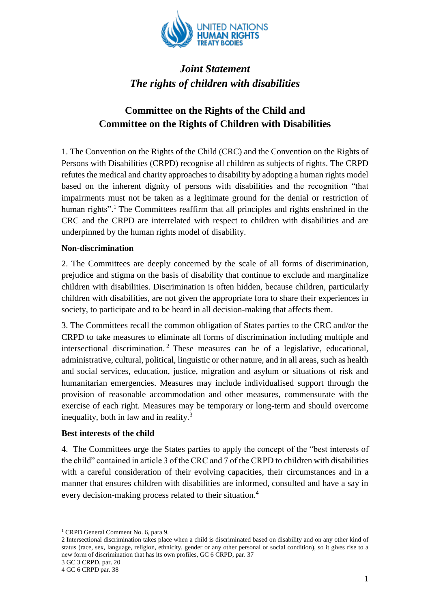

# *Joint Statement The rights of children with disabilities*

## **Committee on the Rights of the Child and Committee on the Rights of Children with Disabilities**

1. The Convention on the Rights of the Child (CRC) and the Convention on the Rights of Persons with Disabilities (CRPD) recognise all children as subjects of rights. The CRPD refutes the medical and charity approaches to disability by adopting a human rights model based on the inherent dignity of persons with disabilities and the recognition "that impairments must not be taken as a legitimate ground for the denial or restriction of human rights".<sup>1</sup> The Committees reaffirm that all principles and rights enshrined in the CRC and the CRPD are interrelated with respect to children with disabilities and are underpinned by the human rights model of disability.

### **Non-discrimination**

2. The Committees are deeply concerned by the scale of all forms of discrimination, prejudice and stigma on the basis of disability that continue to exclude and marginalize children with disabilities. Discrimination is often hidden, because children, particularly children with disabilities, are not given the appropriate fora to share their experiences in society, to participate and to be heard in all decision-making that affects them.

3. The Committees recall the common obligation of States parties to the CRC and/or the CRPD to take measures to eliminate all forms of discrimination including multiple and intersectional discrimination. <sup>2</sup> These measures can be of a legislative, educational, administrative, cultural, political, linguistic or other nature, and in all areas, such as health and social services, education, justice, migration and asylum or situations of risk and humanitarian emergencies. Measures may include individualised support through the provision of reasonable accommodation and other measures, commensurate with the exercise of each right. Measures may be temporary or long-term and should overcome inequality, both in law and in reality.<sup>3</sup>

#### **Best interests of the child**

4. The Committees urge the States parties to apply the concept of the "best interests of the child" contained in article 3 of the CRC and 7 of the CRPD to children with disabilities with a careful consideration of their evolving capacities, their circumstances and in a manner that ensures children with disabilities are informed, consulted and have a say in every decision-making process related to their situation.<sup>4</sup>

1

<sup>&</sup>lt;sup>1</sup> CRPD General Comment No. 6, para 9.

<sup>2</sup> Intersectional discrimination takes place when a child is discriminated based on disability and on any other kind of status (race, sex, language, religion, ethnicity, gender or any other personal or social condition), so it gives rise to a new form of discrimination that has its own profiles, GC 6 CRPD, par. 37

<sup>3</sup> GC 3 CRPD, par. 20

<sup>4</sup> GC 6 CRPD par. 38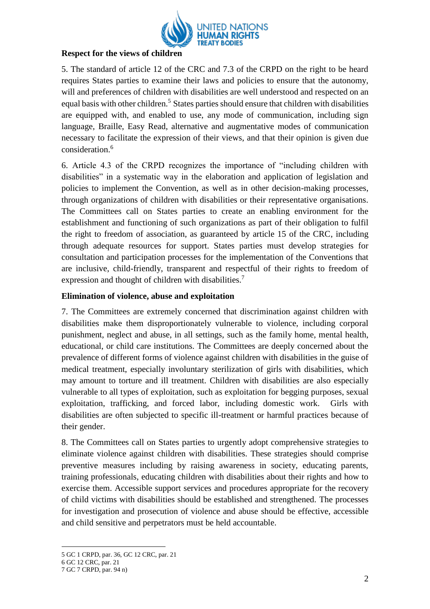

### **Respect for the views of children**

5. The standard of article 12 of the CRC and 7.3 of the CRPD on the right to be heard requires States parties to examine their laws and policies to ensure that the autonomy, will and preferences of children with disabilities are well understood and respected on an equal basis with other children.<sup>5</sup> States parties should ensure that children with disabilities are equipped with, and enabled to use, any mode of communication, including sign language, Braille, Easy Read, alternative and augmentative modes of communication necessary to facilitate the expression of their views, and that their opinion is given due consideration. 6

6. Article 4.3 of the CRPD recognizes the importance of "including children with disabilities" in a systematic way in the elaboration and application of legislation and policies to implement the Convention, as well as in other decision-making processes, through organizations of children with disabilities or their representative organisations. The Committees call on States parties to create an enabling environment for the establishment and functioning of such organizations as part of their obligation to fulfil the right to freedom of association, as guaranteed by article 15 of the CRC, including through adequate resources for support. States parties must develop strategies for consultation and participation processes for the implementation of the Conventions that are inclusive, child-friendly, transparent and respectful of their rights to freedom of expression and thought of children with disabilities.<sup>7</sup>

### **Elimination of violence, abuse and exploitation**

7. The Committees are extremely concerned that discrimination against children with disabilities make them disproportionately vulnerable to violence, including corporal punishment, neglect and abuse, in all settings, such as the family home, mental health, educational, or child care institutions. The Committees are deeply concerned about the prevalence of different forms of violence against children with disabilities in the guise of medical treatment, especially involuntary sterilization of girls with disabilities, which may amount to torture and ill treatment. Children with disabilities are also especially vulnerable to all types of exploitation, such as exploitation for begging purposes, sexual exploitation, trafficking, and forced labor, including domestic work. Girls with disabilities are often subjected to specific ill-treatment or harmful practices because of their gender.

8. The Committees call on States parties to urgently adopt comprehensive strategies to eliminate violence against children with disabilities. These strategies should comprise preventive measures including by raising awareness in society, educating parents, training professionals, educating children with disabilities about their rights and how to exercise them. Accessible support services and procedures appropriate for the recovery of child victims with disabilities should be established and strengthened. The processes for investigation and prosecution of violence and abuse should be effective, accessible and child sensitive and perpetrators must be held accountable.

1

<sup>5</sup> GC 1 CRPD, par. 36, GC 12 CRC, par. 21

<sup>6</sup> GC 12 CRC, par. 21

<sup>7</sup> GC 7 CRPD, par. 94 n)